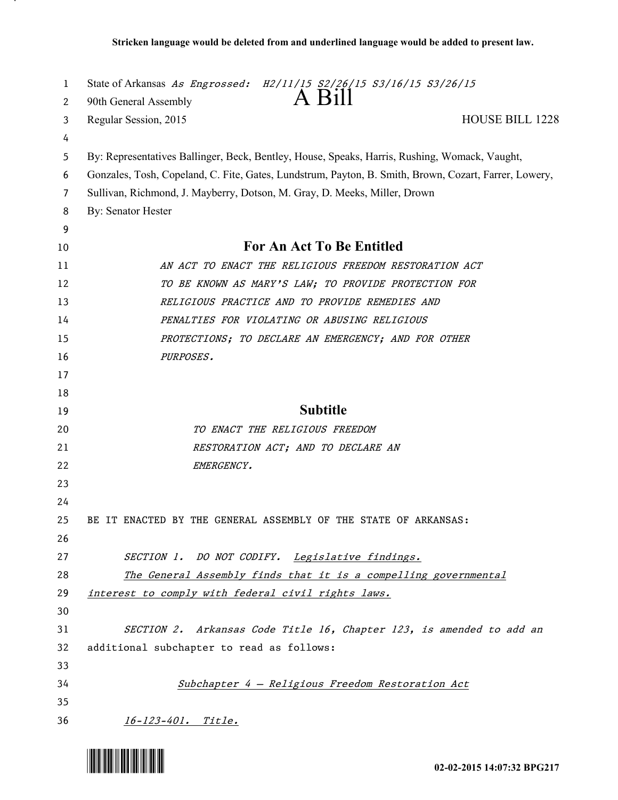| 1       | State of Arkansas As Engrossed: H2/11/15 S2/26/15 S3/16/15 S3/26/15<br>A Bill                         |
|---------|-------------------------------------------------------------------------------------------------------|
| 2       | 90th General Assembly                                                                                 |
| 3       | Regular Session, 2015<br><b>HOUSE BILL 1228</b>                                                       |
| 4       |                                                                                                       |
| 5       | By: Representatives Ballinger, Beck, Bentley, House, Speaks, Harris, Rushing, Womack, Vaught,         |
| 6       | Gonzales, Tosh, Copeland, C. Fite, Gates, Lundstrum, Payton, B. Smith, Brown, Cozart, Farrer, Lowery, |
| 7       | Sullivan, Richmond, J. Mayberry, Dotson, M. Gray, D. Meeks, Miller, Drown                             |
| 8       | By: Senator Hester                                                                                    |
| 9<br>10 | For An Act To Be Entitled                                                                             |
| 11      | AN ACT TO ENACT THE RELIGIOUS FREEDOM RESTORATION ACT                                                 |
| 12      | TO BE KNOWN AS MARY'S LAW; TO PROVIDE PROTECTION FOR                                                  |
| 13      | RELIGIOUS PRACTICE AND TO PROVIDE REMEDIES AND                                                        |
| 14      | PENALTIES FOR VIOLATING OR ABUSING RELIGIOUS                                                          |
| 15      | PROTECTIONS; TO DECLARE AN EMERGENCY; AND FOR OTHER                                                   |
| 16      | PURPOSES.                                                                                             |
| 17      |                                                                                                       |
| 18      |                                                                                                       |
| 19      | <b>Subtitle</b>                                                                                       |
| 20      | TO ENACT THE RELIGIOUS FREEDOM                                                                        |
| 21      | RESTORATION ACT; AND TO DECLARE AN                                                                    |
| 22      | EMERGENCY.                                                                                            |
| 23      |                                                                                                       |
| 24      |                                                                                                       |
| 25      | BE IT ENACTED BY THE GENERAL ASSEMBLY OF THE STATE OF ARKANSAS:                                       |
| 26      |                                                                                                       |
| 27      | SECTION 1. DO NOT CODIFY. Legislative findings.                                                       |
| 28      | The General Assembly finds that it is a compelling governmental                                       |
| 29      | interest to comply with federal civil rights laws.                                                    |
| 30      |                                                                                                       |
| 31      | SECTION 2. Arkansas Code Title 16, Chapter 123, is amended to add an                                  |
| 32      | additional subchapter to read as follows:                                                             |
| 33      |                                                                                                       |
| 34      | Subchapter 4 - Religious Freedom Restoration Act                                                      |
| 35      |                                                                                                       |
| 36      | 16-123-401. Title.                                                                                    |



.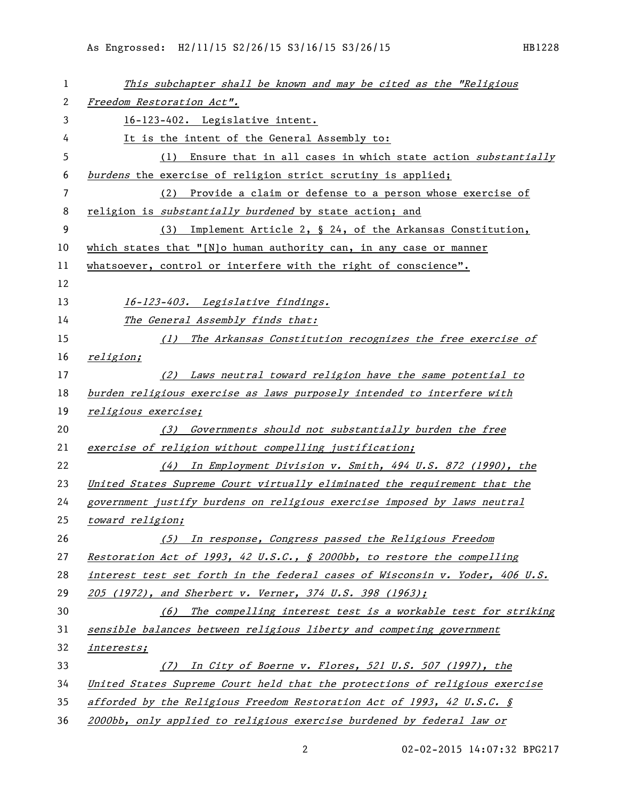| $\mathbf 1$ | This subchapter shall be known and may be cited as the "Religious            |
|-------------|------------------------------------------------------------------------------|
| 2           | Freedom Restoration Act".                                                    |
| 3           | 16-123-402. Legislative intent.                                              |
| 4           | It is the intent of the General Assembly to:                                 |
| 5           | (1) Ensure that in all cases in which state action substantially             |
| 6           | burdens the exercise of religion strict scrutiny is applied;                 |
| 7           | (2) Provide a claim or defense to a person whose exercise of                 |
| 8           | religion is substantially burdened by state action; and                      |
| 9           | (3) Implement Article 2, § 24, of the Arkansas Constitution,                 |
| 10          | which states that "[N]o human authority can, in any case or manner           |
| 11          | whatsoever, control or interfere with the right of conscience".              |
| 12          |                                                                              |
| 13          | 16-123-403. Legislative findings.                                            |
| 14          | The General Assembly finds that:                                             |
| 15          | (1) The Arkansas Constitution recognizes the free exercise of                |
| 16          | religion;                                                                    |
| 17          | (2) Laws neutral toward religion have the same potential to                  |
| 18          | burden religious exercise as laws purposely intended to interfere with       |
| 19          | religious exercise;                                                          |
| 20          | Governments should not substantially burden the free<br>(3)                  |
| 21          | exercise of religion without compelling justification;                       |
| 22          | (4) In Employment Division v. Smith, 494 U.S. 872 (1990), the                |
| 23          | United States Supreme Court virtually eliminated the requirement that the    |
| 24          | government justify burdens on religious exercise imposed by laws neutral     |
| 25          | toward religion;                                                             |
| 26          | (5) In response, Congress passed the Religious Freedom                       |
| 27          | Restoration Act of 1993, 42 U.S.C., § 2000bb, to restore the compelling      |
| 28          | interest test set forth in the federal cases of Wisconsin v. Yoder, 406 U.S. |
| 29          | 205 (1972), and Sherbert v. Verner, 374 U.S. 398 (1963);                     |
| 30          | (6) The compelling interest test is a workable test for striking             |
| 31          | sensible balances between religious liberty and competing government         |
| 32          | interests;                                                                   |
| 33          | In City of Boerne v. Flores, 521 U.S. 507 (1997), the<br>(7)                 |
| 34          | United States Supreme Court held that the protections of religious exercise  |
| 35          | afforded by the Religious Freedom Restoration Act of 1993, 42 U.S.C. §       |
| 36          | 2000bb, only applied to religious exercise burdened by federal law or        |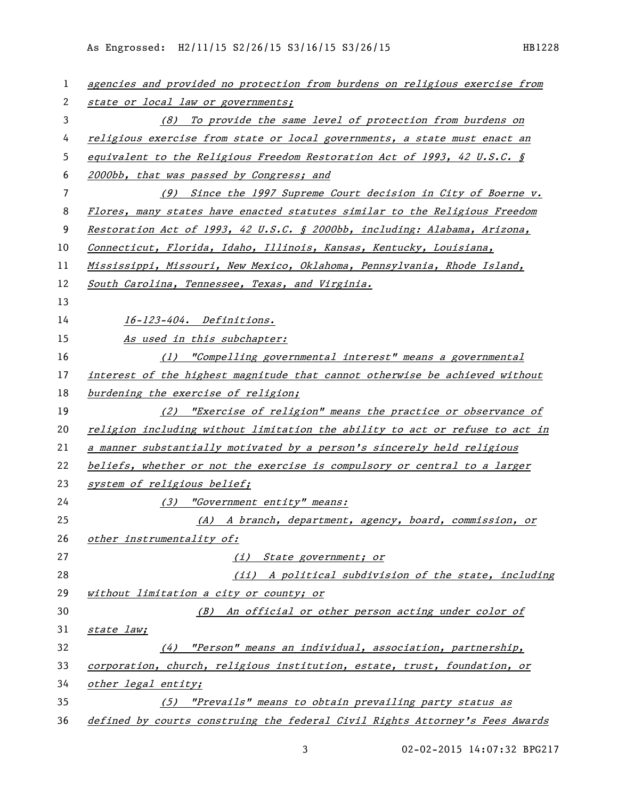| 1              | agencies and provided no protection from burdens on religious exercise from    |
|----------------|--------------------------------------------------------------------------------|
| 2              | state or local law or governments;                                             |
| 3              | (8) To provide the same level of protection from burdens on                    |
| 4              | religious exercise from state or local governments, a state must enact an      |
| 5              | equivalent to the Religious Freedom Restoration Act of 1993, 42 U.S.C. $\oint$ |
| 6              | 2000bb, that was passed by Congress; and                                       |
| $\overline{7}$ | (9) Since the 1997 Supreme Court decision in City of Boerne v.                 |
| 8              | Flores, many states have enacted statutes similar to the Religious Freedom     |
| 9              | Restoration Act of 1993, 42 U.S.C. § 2000bb, including: Alabama, Arizona,      |
| 10             | Connecticut, Florida, Idaho, Illinois, Kansas, Kentucky, Louisiana,            |
| 11             | Mississippi, Missouri, New Mexico, Oklahoma, Pennsylvania, Rhode Island,       |
| 12             | South Carolina, Tennessee, Texas, and Virginia.                                |
| 13             |                                                                                |
| 14             | 16-123-404. Definitions.                                                       |
| 15             | As used in this subchapter:                                                    |
| 16             | (1) "Compelling governmental interest" means a governmental                    |
| 17             | interest of the highest magnitude that cannot otherwise be achieved without    |
| 18             | burdening the exercise of religion;                                            |
| 19             | (2) "Exercise of religion" means the practice or observance of                 |
| 20             | religion including without limitation the ability to act or refuse to act in   |
| 21             | a manner substantially motivated by a person's sincerely held religious        |
| 22             | beliefs, whether or not the exercise is compulsory or central to a larger      |
| 23             | system of religious belief;                                                    |
| 24             | (3) "Government entity" means:                                                 |
| 25             | (A) A branch, department, agency, board, commission, or                        |
| 26             | other instrumentality of:                                                      |
| 27             | (i) State government; or                                                       |
| 28             | (ii) A political subdivision of the state, including                           |
| 29             | without limitation a city or county; or                                        |
| 30             | (B) An official or other person acting under color of                          |
| 31             | state law;                                                                     |
| 32             | $(4)$ "Person" means an individual, association, partnership,                  |
| 33             | corporation, church, religious institution, estate, trust, foundation, or      |
| 34             | other legal entity;                                                            |
| 35             | (5) "Prevails" means to obtain prevailing party status as                      |
| 36             | defined by courts construing the federal Civil Rights Attorney's Fees Awards   |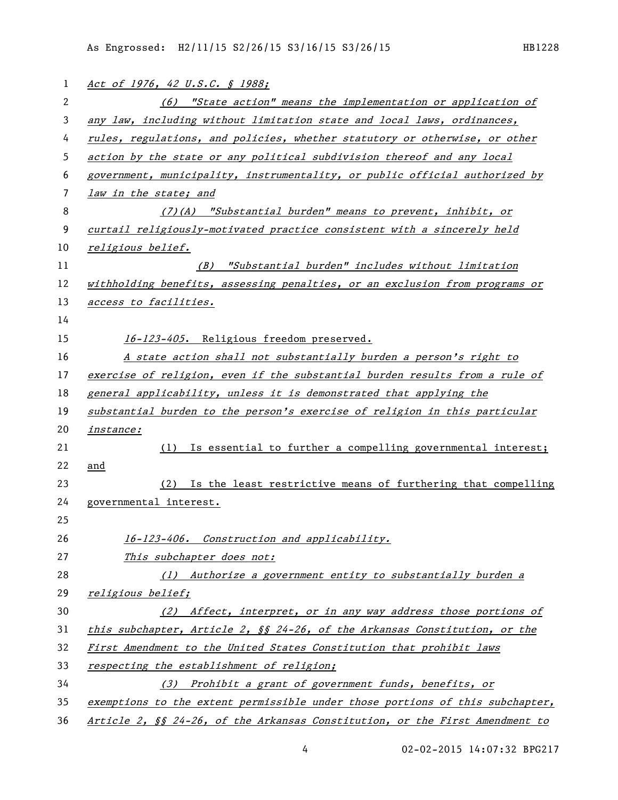| 1              | Act of 1976, 42 U.S.C. § 1988;                                                      |
|----------------|-------------------------------------------------------------------------------------|
| 2              | (6) "State action" means the implementation or application of                       |
| 3              | any law, including without limitation state and local laws, ordinances,             |
| 4              | rules, regulations, and policies, whether statutory or otherwise, or other          |
| 5              | action by the state or any political subdivision thereof and any local              |
| 6              | government, municipality, instrumentality, or public official authorized by         |
| $\overline{7}$ | law in the state; and                                                               |
| 8              | $(7)(A)$ "Substantial burden" means to prevent, inhibit, or                         |
| 9              | curtail religiously-motivated practice consistent with a sincerely held             |
| 10             | religious belief.                                                                   |
| 11             | (B) "Substantial burden" includes without limitation                                |
| 12             | withholding benefits, assessing penalties, or an exclusion from programs or         |
| 13             | access to facilities.                                                               |
| 14             |                                                                                     |
| 15             | 16-123-405. Religious freedom preserved.                                            |
| 16             | A state action shall not substantially burden a person's right to                   |
| 17             | exercise of religion, even if the substantial burden results from a rule of         |
| 18             | general applicability, unless it is demonstrated that applying the                  |
| 19             | substantial burden to the person's exercise of religion in this particular          |
| 20             | <u>instance:</u>                                                                    |
| 21             | (1) Is essential to further a compelling governmental interest;                     |
| 22             | and                                                                                 |
| 23             | Is the least restrictive means of furthering that compelling<br>(2)                 |
| 24             | governmental interest.                                                              |
| 25             |                                                                                     |
| 26             | 16-123-406. Construction and applicability.                                         |
| 27             | This subchapter does not:                                                           |
| 28             | (1) Authorize a government entity to substantially burden a                         |
| 29             | <u>religious belief;</u>                                                            |
| 30             | (2) Affect, interpret, or in any way address those portions of                      |
| 31             | this subchapter, Article 2, §§ 24-26, of the Arkansas Constitution, or the          |
| 32             | First Amendment to the United States Constitution that prohibit laws                |
| 33             | <u>respecting the establishment of religion;</u>                                    |
| 34             | (3) Prohibit a grant of government funds, benefits, or                              |
| 35             | exemptions to the extent permissible under those portions of this subchapter,       |
| 36             | <u>Article 2, §§ 24-26, of the Arkansas Constitution, or the First Amendment to</u> |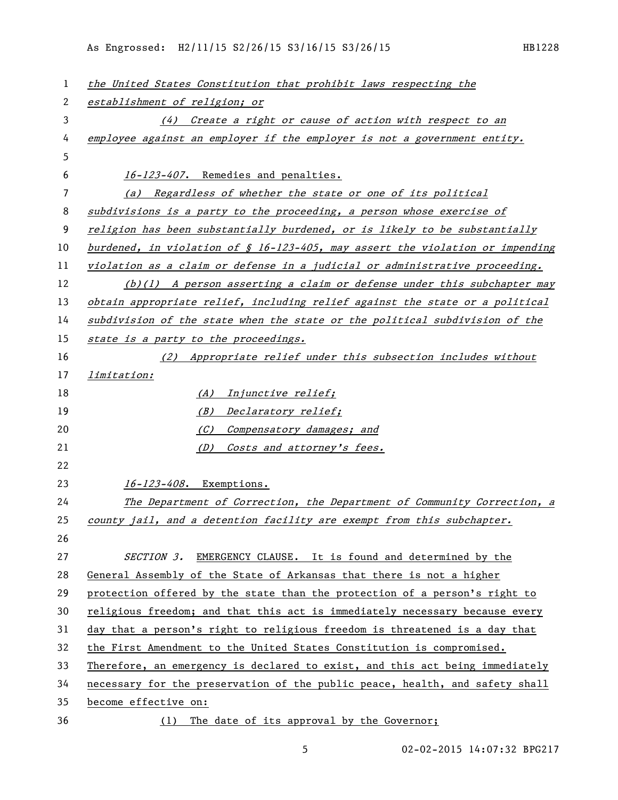As Engrossed: H2/11/15 S2/26/15 S3/16/15 S3/26/15 HB1228

| 1  | the United States Constitution that prohibit laws respecting the                 |
|----|----------------------------------------------------------------------------------|
| 2  | establishment of religion; or                                                    |
| 3  | (4) Create a right or cause of action with respect to an                         |
| 4  | employee against an employer if the employer is not a government entity.         |
| 5  |                                                                                  |
| 6  | 16-123-407. Remedies and penalties.                                              |
| 7  | Regardless of whether the state or one of its political<br>(a)                   |
| 8  | subdivisions is a party to the proceeding, a person whose exercise of            |
| 9  | religion has been substantially burdened, or is likely to be substantially       |
| 10 | burdened, in violation of $\S$ 16-123-405, may assert the violation or impending |
| 11 | violation as a claim or defense in a judicial or administrative proceeding.      |
| 12 | $(b)(1)$ A person asserting a claim or defense under this subchapter may         |
| 13 | obtain appropriate relief, including relief against the state or a political     |
| 14 | subdivision of the state when the state or the political subdivision of the      |
| 15 | state is a party to the proceedings.                                             |
| 16 | (2) Appropriate relief under this subsection includes without                    |
| 17 | limitation:                                                                      |
| 18 | Injunctive relief;<br>(A)                                                        |
| 19 | (B) Declaratory relief;                                                          |
| 20 | Compensatory damages; and<br>(C)                                                 |
| 21 | (D) Costs and attorney's fees.                                                   |
| 22 |                                                                                  |
| 23 | 16-123-408. Exemptions.                                                          |
| 24 | The Department of Correction, the Department of Community Correction, a          |
| 25 | county jail, and a detention facility are exempt from this subchapter.           |
| 26 |                                                                                  |
| 27 | SECTION 3. EMERGENCY CLAUSE. It is found and determined by the                   |
| 28 | General Assembly of the State of Arkansas that there is not a higher             |
| 29 | protection offered by the state than the protection of a person's right to       |
| 30 | religious freedom; and that this act is immediately necessary because every      |
| 31 | day that a person's right to religious freedom is threatened is a day that       |
| 32 | the First Amendment to the United States Constitution is compromised.            |
| 33 | Therefore, an emergency is declared to exist, and this act being immediately     |
| 34 | necessary for the preservation of the public peace, health, and safety shall     |
| 35 | become effective on:                                                             |
| 36 | The date of its approval by the Governor;<br>(1)                                 |